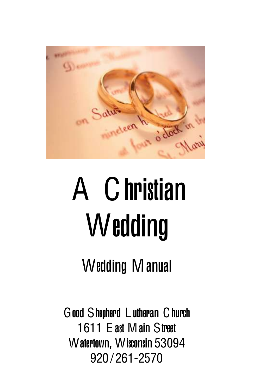

# A Christian Wedding

## Wedding Manual

Good Shepherd L utheran Church 1611 E ast Main Street Watertown, Wisconsin 53094 920 / 261-2570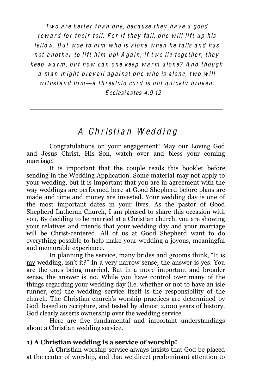Two are better than one, because they have a good reward for their toil. For if they fall, one will lift up his  $f$ ellow. But woe to him who is alone when he falls and has not another to lift him up! Again, if two lie together, they keep warm, but how can one keep warm alone? And though a man might prevail against one who is alone, two will withstand him — a threefold cord is not quickly broken. E cclesi a st es 4:9-12

### A Christian Wedding

Congratulations on your engagement! May our Loving God and Jesus Christ, His Son, watch over and bless your coming marriage!

It is important that the couple reads this booklet before sending in the Wedding Application. Some material may not apply to your wedding, but it is important that you are in agreement with the way weddings are performed here at Good Shepherd before plans are made and time and money are invested. Your wedding day is one of the most important dates in your lives. As the pastor of Good Shepherd Lutheran Church, I am pleased to share this occasion with you. By deciding to be married at a Christian church, you are showing your relatives and friends that your wedding day and your marriage will be Christ-centered. All of us at Good Shepherd want to do everything possible to help make your wedding a joyous, meaningful and memorable experience.

In planning the service, many brides and grooms think, "It is my wedding, isn't it?" In a very narrow sense, the answer is ves. You are the ones being married. But in a more important and broader sense, the answer is no. While you have control over many of the things regarding your wedding day (i.e. whether or not to have an isle runner, etc) the wedding service itself is the responsibility of the church. The Christian church's worship practices are determined by God, based on Scripture, and tested by almost 2,000 years of history. God clearly asserts ownership over the wedding service.

Here are five fundamental and important understandings about a Christian wedding service.

#### **1) A Christian wedding is a service of worship!**

A Christian worship service always insists that God be placed at the center of worship, and that we direct predominant attention to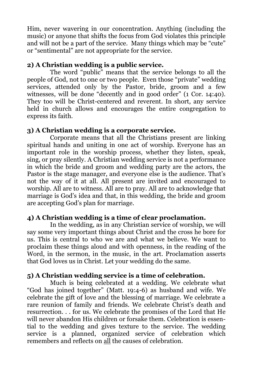Him, never wavering in our concentration. Anything (including the music) or anyone that shifts the focus from God violates this principle and will not be a part of the service. Many things which may be "cute" or "sentimental" are not appropriate for the service.

#### **2) A Christian wedding is a public service.**

The word "public" means that the service belongs to all the people of God, not to one or two people. Even those "private" wedding services, attended only by the Pastor, bride, groom and a few witnesses, will be done "decently and in good order"  $(1 \text{ Cor. } 14:40)$ . They too will be Christ-centered and reverent. In short, any service held in church allows and encourages the entire congregation to express its faith.

#### **3) A Christian wedding is a corporate service.**

Corporate means that all the Christians present are linking spiritual hands and uniting in one act of worship. Everyone has an important role in the worship process, whether they listen, speak, sing, or pray silently. A Christian wedding service is not a performance in which the bride and groom and wedding party are the actors, the Pastor is the stage manager, and everyone else is the audience. That's not the way of it at all. All present are invited and encouraged to worship. All are to witness. All are to pray. All are to acknowledge that marriage is God's idea and that, in this wedding, the bride and groom are accepting God's plan for marriage.

#### **4) A Christian wedding is a time of clear proclamation.**

In the wedding, as in any Christian service of worship, we will say some very important things about Christ and the cross he bore for us. This is central to who we are and what we believe. We want to proclaim these things aloud and with openness, in the reading of the Word, in the sermon, in the music, in the art. Proclamation asserts that God loves us in Christ. Let your wedding do the same.

#### **5) A Christian wedding service is a time of celebration.**

Much is being celebrated at a wedding. We celebrate what "God has joined together" (Matt. 19:4-6) as husband and wife. We celebrate the gift of love and the blessing of marriage. We celebrate a rare reunion of family and friends. We celebrate Christ's death and resurrection. . . for us. We celebrate the promises of the Lord that He will never abandon His children or forsake them. Celebration is essential to the wedding and gives texture to the service. The wedding service is a planned, organized service of celebration which remembers and reflects on all the causes of celebration.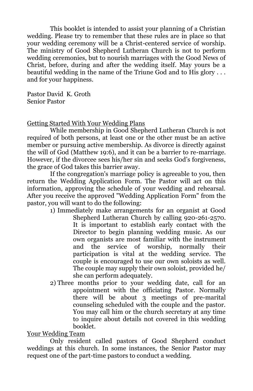This booklet is intended to assist your planning of a Christian wedding. Please try to remember that these rules are in place so that your wedding ceremony will be a Christ-centered service of worship. The ministry of Good Shepherd Lutheran Church is not to perform wedding ceremonies, but to nourish marriages with the Good News of Christ, before, during and after the wedding itself. May yours be a beautiful wedding in the name of the Triune God and to His glory . . . and for your happiness.

Pastor David K. Groth Senior Pastor

#### Getting Started With Your Wedding Plans

While membership in Good Shepherd Lutheran Church is not required of both persons, at least one or the other must be an active member or pursuing active membership. As divorce is directly against the will of God (Matthew 19:6), and it can be a barrier to re-marriage. However, if the divorcee sees his/her sin and seeks God's forgiveness, the grace of God takes this barrier away.

If the congregation's marriage policy is agreeable to you, then return the Wedding Application Form. The Pastor will act on this information, approving the schedule of your wedding and rehearsal. After you receive the approved "Wedding Application Form" from the pastor, you will want to do the following:

- 1) Immediately make arrangements for an organist at Good Shepherd Lutheran Church by calling 920-261-2570. It is important to establish early contact with the Director to begin planning wedding music. As our own organists are most familiar with the instrument and the service of worship, normally their participation is vital at the wedding service. The couple is encouraged to use our own soloists as well. The couple may supply their own soloist, provided he/ she can perform adequately.
- 2) Three months prior to your wedding date, call for an appointment with the officiating Pastor. Normally there will be about 3 meetings of pre-marital counseling scheduled with the couple and the pastor. You may call him or the church secretary at any time to inquire about details not covered in this wedding booklet.

#### Your Wedding Team

Only resident called pastors of Good Shepherd conduct weddings at this church. In some instances, the Senior Pastor may request one of the part-time pastors to conduct a wedding.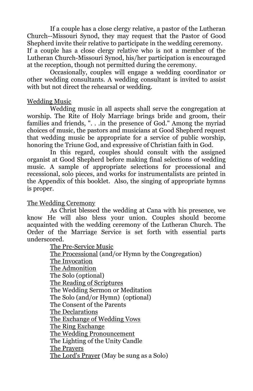If a couple has a close clergy relative, a pastor of the Lutheran Church--Missouri Synod, they may request that the Pastor of Good Shepherd invite their relative to participate in the wedding ceremony. If a couple has a close clergy relative who is not a member of the Lutheran Church-Missouri Synod, his/her participation is encouraged at the reception, though not permitted during the ceremony.

Occasionally, couples will engage a wedding coordinator or other wedding consultants. A wedding consultant is invited to assist with but not direct the rehearsal or wedding.

#### Wedding Music

Wedding music in all aspects shall serve the congregation at worship. The Rite of Holy Marriage brings bride and groom, their families and friends, ". . .in the presence of God." Among the myriad choices of music, the pastors and musicians at Good Shepherd request that wedding music be appropriate for a service of public worship, honoring the Triune God, and expressive of Christian faith in God.

In this regard, couples should consult with the assigned organist at Good Shepherd before making final selections of wedding music. A sample of appropriate selections for processional and recessional, solo pieces, and works for instrumentalists are printed in the Appendix of this booklet. Also, the singing of appropriate hymns is proper.

#### The Wedding Ceremony

As Christ blessed the wedding at Cana with his presence, we know He will also bless your union. Couples should become acquainted with the wedding ceremony of the Lutheran Church. The Order of the Marriage Service is set forth with essential parts underscored.

> The Pre-Service Music The Processional (and/or Hymn by the Congregation) The Invocation The Admonition The Solo (optional) The Reading of Scriptures The Wedding Sermon or Meditation The Solo (and/or Hymn) (optional) The Consent of the Parents The Declarations The Exchange of Wedding Vows The Ring Exchange The Wedding Pronouncement The Lighting of the Unity Candle The Prayers The Lord's Prayer (May be sung as a Solo)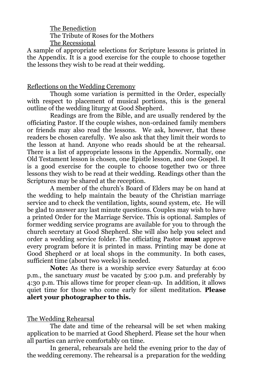The Benediction The Tribute of Roses for the Mothers The Recessional

A sample of appropriate selections for Scripture lessons is printed in the Appendix. It is a good exercise for the couple to choose together the lessons they wish to be read at their wedding.

#### Reflections on the Wedding Ceremony

Though some variation is permitted in the Order, especially with respect to placement of musical portions, this is the general outline of the wedding liturgy at Good Shepherd.

Readings are from the Bible, and are usually rendered by the officiating Pastor. If the couple wishes, non-ordained family members or friends may also read the lessons. We ask, however, that these readers be chosen carefully. We also ask that they limit their words to the lesson at hand. Anyone who reads should be at the rehearsal. There is a list of appropriate lessons in the Appendix. Normally, one Old Testament lesson is chosen, one Epistle lesson, and one Gospel. It is a good exercise for the couple to choose together two or three lessons they wish to be read at their wedding. Readings other than the Scriptures may be shared at the reception.

A member of the church's Board of Elders may be on hand at the wedding to help maintain the beauty of the Christian marriage service and to check the ventilation, lights, sound system, etc. He will be glad to answer any last minute questions. Couples may wish to have a printed Order for the Marriage Service. This is optional. Samples of former wedding service programs are available for you to through the church secretary at Good Shepherd. She will also help you select and order a wedding service folder. The officiating Pastor **must** approve every program before it is printed in mass. Printing may be done at Good Shepherd or at local shops in the community. In both cases, sufficient time (about two weeks) is needed.

**Note:** As there is a worship service every Saturday at 6:00 p.m., the sanctuary *must* be vacated by 5:00 p.m. and preferably by 4:30 p.m. This allows time for proper clean-up. In addition, it allows quiet time for those who come early for silent meditation. **Please alert your photographer to this.**

#### The Wedding Rehearsal

The date and time of the rehearsal will be set when making application to be married at Good Shepherd. Please set the hour when all parties can arrive comfortably on time.

In general, rehearsals are held the evening prior to the day of the wedding ceremony. The rehearsal is a preparation for the wedding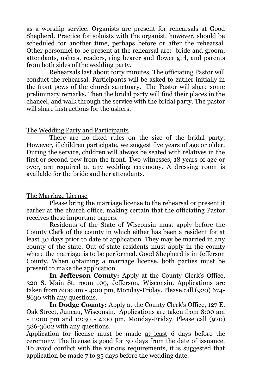as a worship service. Organists are present for rehearsals at Good Shepherd. Practice for soloists with the organist, however, should be scheduled for another time, perhaps before or after the rehearsal. Other personnel to be present at the rehearsal are: bride and groom, attendants, ushers, readers, ring bearer and flower girl, and parents from both sides of the wedding party.

Rehearsals last about forty minutes. The officiating Pastor will conduct the rehearsal. Participants will be asked to gather initially in the front pews of the church sanctuary. The Pastor will share some preliminary remarks. Then the bridal party will find their places in the chancel, and walk through the service with the bridal party. The pastor will share instructions for the ushers.

#### The Wedding Party and Participants

There are no fixed rules on the size of the bridal party. However, if children participate, we suggest five years of age or older. During the service, children will always be seated with relatives in the first or second pew from the front. Two witnesses, 18 years of age or over, are required at any wedding ceremony. A dressing room is available for the bride and her attendants.

#### The Marriage License

Please bring the marriage license to the rehearsal or present it earlier at the church office, making certain that the officiating Pastor receives these important papers.

Residents of the State of Wisconsin must apply before the County Clerk of the county in which either has been a resident for at least 30 days prior to date of application. They may be married in any county of the state. Out-of-state residents must apply in the county where the marriage is to be performed. Good Shepherd is in Jefferson County. When obtaining a marriage license, both parties must be present to make the application.

In Jefferson County: Apply at the County Clerk's Office, 320 S. Main St. room 109, Jefferson, Wisconsin. Applications are taken from 8:00 am - 4:00 pm, Monday-Friday. Please call (920) 674- 8630 with any questions.

**In Dodge County:** Apply at the County Clerk's Office, 127 E. Oak Street, Juneau, Wisconsin. Applications are taken from 8:00 am - 12:00 pm and 12:30 - 4:00 pm, Monday-Friday. Please call (920) 386-3602 with any questions.

Application for license must be made at least 6 days before the ceremony. The license is good for 30 days from the date of issuance. To avoid conflict with the various requirements, it is suggested that application be made 7 to 35 days before the wedding date.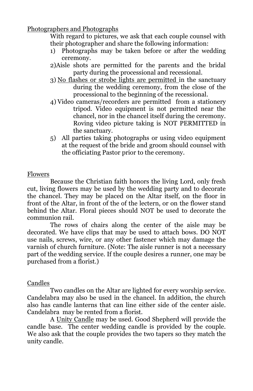Photographers and Photographs

With regard to pictures, we ask that each couple counsel with their photographer and share the following information:

- 1) Photographs may be taken before or after the wedding ceremony.
- 2)Aisle shots are permitted for the parents and the bridal party during the processional and recessional.
- 3) No flashes or strobe lights are permitted in the sanctuary during the wedding ceremony, from the close of the processional to the beginning of the recessional.
- 4) Video cameras/recorders are permitted from a stationery tripod. Video equipment is not permitted near the chancel, nor in the chancel itself during the ceremony. Roving video picture taking is NOT PERMITTED in the sanctuary.
- 5) All parties taking photographs or using video equipment at the request of the bride and groom should counsel with the officiating Pastor prior to the ceremony.

#### Flowers

Because the Christian faith honors the living Lord, only fresh cut, living flowers may be used by the wedding party and to decorate the chancel. They may be placed on the Altar itself, on the floor in front of the Altar, in front of the of the lectern, or on the flower stand behind the Altar. Floral pieces should NOT be used to decorate the communion rail.

The rows of chairs along the center of the aisle may be decorated. We have clips that may be used to attach bows. DO NOT use nails, screws, wire, or any other fastener which may damage the varnish of church furniture. (Note: The aisle runner is not a necessary part of the wedding service. If the couple desires a runner, one may be purchased from a florist.)

#### Candles

Two candles on the Altar are lighted for every worship service. Candelabra may also be used in the chancel. In addition, the church also has candle lanterns that can line either side of the center aisle. Candelabra may be rented from a florist.

A Unity Candle may be used. Good Shepherd will provide the candle base. The center wedding candle is provided by the couple. We also ask that the couple provides the two tapers so they match the unity candle.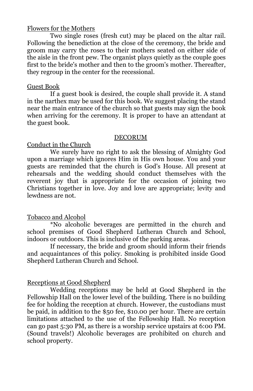#### Flowers for the Mothers

Two single roses (fresh cut) may be placed on the altar rail. Following the benediction at the close of the ceremony, the bride and groom may carry the roses to their mothers seated on either side of the aisle in the front pew. The organist plays quietly as the couple goes first to the bride's mother and then to the groom's mother. Thereafter, they regroup in the center for the recessional.

#### Guest Book

If a guest book is desired, the couple shall provide it. A stand in the narthex may be used for this book. We suggest placing the stand near the main entrance of the church so that guests may sign the book when arriving for the ceremony. It is proper to have an attendant at the guest book.

#### DECORUM

#### Conduct in the Church

We surely have no right to ask the blessing of Almighty God upon a marriage which ignores Him in His own house. You and your guests are reminded that the church is God's House. All present at rehearsals and the wedding should conduct themselves with the reverent joy that is appropriate for the occasion of joining two Christians together in love. Joy and love are appropriate; levity and lewdness are not.

#### Tobacco and Alcohol

\*No alcoholic beverages are permitted in the church and school premises of Good Shepherd Lutheran Church and School, indoors or outdoors. This is inclusive of the parking areas.

If necessary, the bride and groom should inform their friends and acquaintances of this policy. Smoking is prohibited inside Good Shepherd Lutheran Church and School.

#### Receptions at Good Shepherd

Wedding receptions may be held at Good Shepherd in the Fellowship Hall on the lower level of the building. There is no building fee for holding the reception at church. However, the custodians must be paid, in addition to the \$50 fee, \$10.00 per hour. There are certain limitations attached to the use of the Fellowship Hall. No reception can go past 5:30 PM, as there is a worship service upstairs at 6:00 PM. (Sound travels!) Alcoholic beverages are prohibited on church and school property.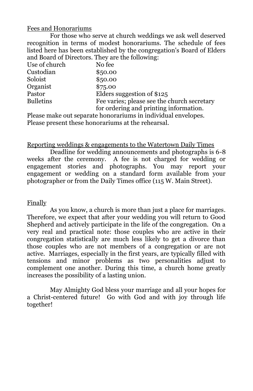#### Fees and Honorariums

For those who serve at church weddings we ask well deserved recognition in terms of modest honorariums. The schedule of fees listed here has been established by the congregation's Board of Elders and Board of Directors. They are the following:

| Use of church    | No fee                                      |
|------------------|---------------------------------------------|
| Custodian        | \$50.00                                     |
| Soloist          | \$50.00                                     |
| Organist         | \$75.00                                     |
| Pastor           | Elders suggestion of \$125                  |
| <b>Bulletins</b> | Fee varies; please see the church secretary |
|                  | for ordering and printing information.      |

Please make out separate honorariums in individual envelopes. Please present these honorariums at the rehearsal.

#### Reporting weddings & engagements to the Watertown Daily Times

Deadline for wedding announcements and photographs is 6-8 weeks after the ceremony. A fee is not charged for wedding or engagement stories and photographs. You may report your engagement or wedding on a standard form available from your photographer or from the Daily Times office (115 W. Main Street).

#### **Finally**

As you know, a church is more than just a place for marriages. Therefore, we expect that after your wedding you will return to Good Shepherd and actively participate in the life of the congregation. On a very real and practical note: those couples who are active in their congregation statistically are much less likely to get a divorce than those couples who are not members of a congregation or are not active. Marriages, especially in the first years, are typically filled with tensions and minor problems as two personalities adjust to complement one another. During this time, a church home greatly increases the possibility of a lasting union.

May Almighty God bless your marriage and all your hopes for a Christ-centered future! Go with God and with joy through life together!